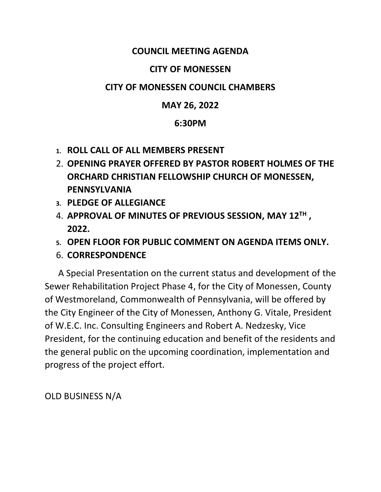### **COUNCIL MEETING AGENDA**

#### **CITY OF MONESSEN**

### **CITY OF MONESSEN COUNCIL CHAMBERS**

### **MAY 26, 2022**

### **6:30PM**

- **1. ROLL CALL OF ALL MEMBERS PRESENT**
- 2. **OPENING PRAYER OFFERED BY PASTOR ROBERT HOLMES OF THE ORCHARD CHRISTIAN FELLOWSHIP CHURCH OF MONESSEN, PENNSYLVANIA**
- **3. PLEDGE OF ALLEGIANCE**
- 4. **APPROVAL OF MINUTES OF PREVIOUS SESSION, MAY 12TH , 2022.**
- **5. OPEN FLOOR FOR PUBLIC COMMENT ON AGENDA ITEMS ONLY.**
- 6. **CORRESPONDENCE**

 A Special Presentation on the current status and development of the Sewer Rehabilitation Project Phase 4, for the City of Monessen, County of Westmoreland, Commonwealth of Pennsylvania, will be offered by the City Engineer of the City of Monessen, Anthony G. Vitale, President of W.E.C. Inc. Consulting Engineers and Robert A. Nedzesky, Vice President, for the continuing education and benefit of the residents and the general public on the upcoming coordination, implementation and progress of the project effort.

OLD BUSINESS N/A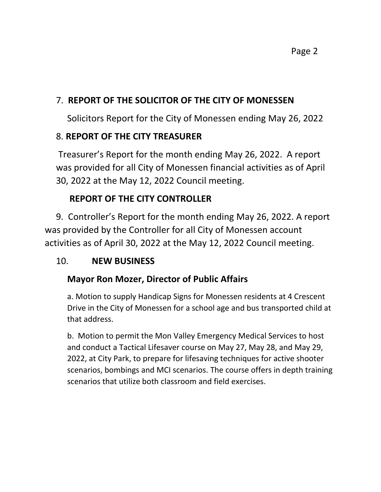Page 2

## 7. **REPORT OF THE SOLICITOR OF THE CITY OF MONESSEN**

Solicitors Report for the City of Monessen ending May 26, 2022

### 8. **REPORT OF THE CITY TREASURER**

Treasurer's Report for the month ending May 26, 2022. A report was provided for all City of Monessen financial activities as of April 30, 2022 at the May 12, 2022 Council meeting.

## **REPORT OF THE CITY CONTROLLER**

 9. Controller's Report for the month ending May 26, 2022. A report was provided by the Controller for all City of Monessen account activities as of April 30, 2022 at the May 12, 2022 Council meeting.

### 10. **NEW BUSINESS**

## **Mayor Ron Mozer, Director of Public Affairs**

a. Motion to supply Handicap Signs for Monessen residents at 4 Crescent Drive in the City of Monessen for a school age and bus transported child at that address.

b. Motion to permit the Mon Valley Emergency Medical Services to host and conduct a Tactical Lifesaver course on May 27, May 28, and May 29, 2022, at City Park, to prepare for lifesaving techniques for active shooter scenarios, bombings and MCI scenarios. The course offers in depth training scenarios that utilize both classroom and field exercises.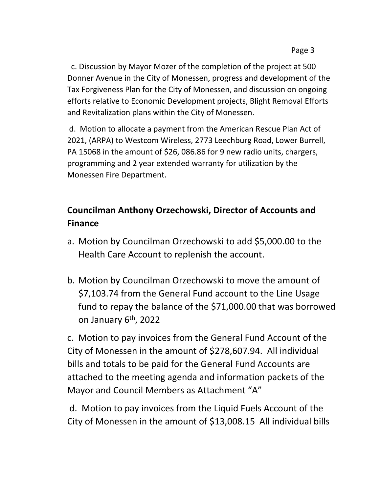c. Discussion by Mayor Mozer of the completion of the project at 500 Donner Avenue in the City of Monessen, progress and development of the Tax Forgiveness Plan for the City of Monessen, and discussion on ongoing efforts relative to Economic Development projects, Blight Removal Efforts and Revitalization plans within the City of Monessen.

d. Motion to allocate a payment from the American Rescue Plan Act of 2021, (ARPA) to Westcom Wireless, 2773 Leechburg Road, Lower Burrell, PA 15068 in the amount of \$26, 086.86 for 9 new radio units, chargers, programming and 2 year extended warranty for utilization by the Monessen Fire Department.

# **Councilman Anthony Orzechowski, Director of Accounts and Finance**

- a. Motion by Councilman Orzechowski to add \$5,000.00 to the Health Care Account to replenish the account.
- b. Motion by Councilman Orzechowski to move the amount of \$7,103.74 from the General Fund account to the Line Usage fund to repay the balance of the \$71,000.00 that was borrowed on January 6th, 2022

c. Motion to pay invoices from the General Fund Account of the City of Monessen in the amount of \$278,607.94. All individual bills and totals to be paid for the General Fund Accounts are attached to the meeting agenda and information packets of the Mayor and Council Members as Attachment "A"

d. Motion to pay invoices from the Liquid Fuels Account of the City of Monessen in the amount of \$13,008.15 All individual bills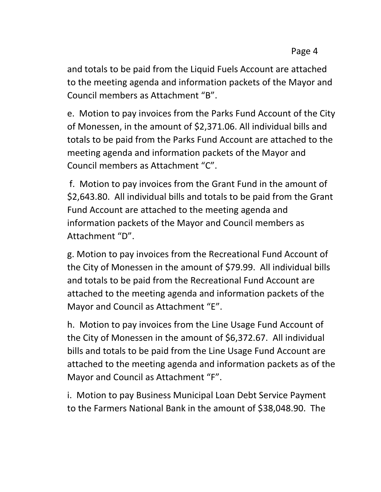and totals to be paid from the Liquid Fuels Account are attached to the meeting agenda and information packets of the Mayor and Council members as Attachment "B".

e. Motion to pay invoices from the Parks Fund Account of the City of Monessen, in the amount of \$2,371.06. All individual bills and totals to be paid from the Parks Fund Account are attached to the meeting agenda and information packets of the Mayor and Council members as Attachment "C".

f. Motion to pay invoices from the Grant Fund in the amount of \$2,643.80. All individual bills and totals to be paid from the Grant Fund Account are attached to the meeting agenda and information packets of the Mayor and Council members as Attachment "D".

g. Motion to pay invoices from the Recreational Fund Account of the City of Monessen in the amount of \$79.99. All individual bills and totals to be paid from the Recreational Fund Account are attached to the meeting agenda and information packets of the Mayor and Council as Attachment "E".

h. Motion to pay invoices from the Line Usage Fund Account of the City of Monessen in the amount of \$6,372.67. All individual bills and totals to be paid from the Line Usage Fund Account are attached to the meeting agenda and information packets as of the Mayor and Council as Attachment "F".

i. Motion to pay Business Municipal Loan Debt Service Payment to the Farmers National Bank in the amount of \$38,048.90. The